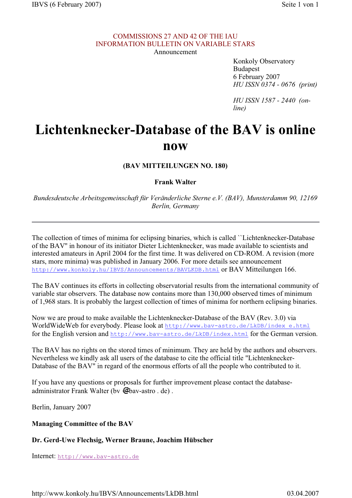## COMMISSIONS 27 AND 42 OF THE IAU INFORMATION BULLETIN ON VARIABLE STARS

Announcement

 Konkoly Observatory Budapest 6 February 2007 *HU ISSN 0374 - 0676 (print)*

*HU ISSN 1587 - 2440 (online)*

## **Lichtenknecker-Database of the BAV is online now**

**(BAV MITTEILUNGEN NO. 180)**

**Frank Walter**

*Bundesdeutsche Arbeitsgemeinschaft für Veränderliche Sterne e.V. (BAV), Munsterdamm 90, 12169 Berlin, Germany*

The collection of times of minima for eclipsing binaries, which is called ``Lichtenknecker-Database of the BAV'' in honour of its initiator Dieter Lichtenknecker, was made available to scientists and interested amateurs in April 2004 for the first time. It was delivered on CD-ROM. A revision (more stars, more minima) was published in January 2006. For more details see announcement http://www.konkoly.hu/IBVS/Announcements/BAVLKDB.html or BAV Mitteilungen 166.

The BAV continues its efforts in collecting observatorial results from the international community of variable star observers. The database now contains more than 130,000 observed times of minimum of 1,968 stars. It is probably the largest collection of times of minima for northern eclipsing binaries.

Now we are proud to make available the Lichtenknecker-Database of the BAV (Rev. 3.0) via WorldWideWeb for everybody. Please look at http://www.bav-astro.de/LkDB/index\_e.html for the English version and  $http://www.bav-astro.de/LkDB/index.html$  for the German version.

The BAV has no rights on the stored times of minimum. They are held by the authors and observers. Nevertheless we kindly ask all users of the database to cite the official title "Lichtenknecker-Database of the BAV" in regard of the enormous efforts of all the people who contributed to it.

If you have any questions or proposals for further improvement please contact the databaseadministrator Frank Walter (by  $\mathcal{Q}_{\text{bav-astro}}$  . de).

Berlin, January 2007

## **Managing Committee of the BAV**

## **Dr. Gerd-Uwe Flechsig, Werner Braune, Joachim Hübscher**

Internet: http://www.bav-astro.de